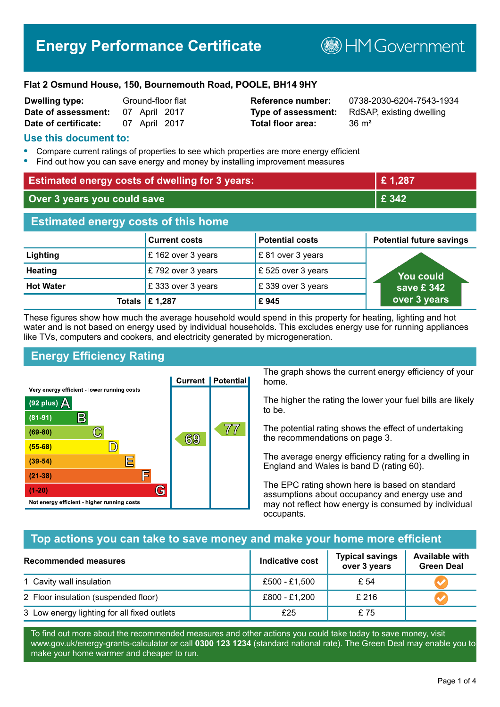# **Energy Performance Certificate**

**BHM Government** 

#### **Flat 2 Osmund House, 150, Bournemouth Road, POOLE, BH14 9HY**

| Dwelling type:       |               | Ground-floor flat |
|----------------------|---------------|-------------------|
| Date of assessment:  | 07 April 2017 |                   |
| Date of certificate: | 07 April 2017 |                   |

# **Total floor area:** 36 m<sup>2</sup>

**Reference number:** 0738-2030-6204-7543-1934 **Type of assessment:** RdSAP, existing dwelling

#### **Use this document to:**

- **•** Compare current ratings of properties to see which properties are more energy efficient
- **•** Find out how you can save energy and money by installing improvement measures

| <b>Estimated energy costs of dwelling for 3 years:</b> |                           |                        | £1,287                          |
|--------------------------------------------------------|---------------------------|------------------------|---------------------------------|
| Over 3 years you could save                            |                           | £ 342                  |                                 |
| <b>Estimated energy costs of this home</b>             |                           |                        |                                 |
|                                                        | <b>Current costs</b>      | <b>Potential costs</b> | <b>Potential future savings</b> |
| Lighting                                               | £ 162 over 3 years        | £81 over 3 years       |                                 |
| <b>Heating</b>                                         | £792 over 3 years         | £525 over 3 years      | <b>You could</b>                |
| <b>Hot Water</b>                                       | £333 over 3 years         | £339 over 3 years      | save £342                       |
|                                                        | Totals $\mathsf{E}$ 1,287 | £945                   | over 3 years                    |

These figures show how much the average household would spend in this property for heating, lighting and hot water and is not based on energy used by individual households. This excludes energy use for running appliances like TVs, computers and cookers, and electricity generated by microgeneration.

# **Energy Efficiency Rating**



The graph shows the current energy efficiency of your home.

The higher the rating the lower your fuel bills are likely to be.

The potential rating shows the effect of undertaking the recommendations on page 3.

The average energy efficiency rating for a dwelling in England and Wales is band D (rating 60).

The EPC rating shown here is based on standard assumptions about occupancy and energy use and may not reflect how energy is consumed by individual occupants.

#### **Top actions you can take to save money and make your home more efficient**

| <b>Recommended measures</b>                 | Indicative cost | <b>Typical savings</b><br>over 3 years | <b>Available with</b><br><b>Green Deal</b> |
|---------------------------------------------|-----------------|----------------------------------------|--------------------------------------------|
| 1 Cavity wall insulation                    | £500 - £1,500   | £ 54                                   |                                            |
| 2 Floor insulation (suspended floor)        | £800 - £1,200   | £216                                   |                                            |
| 3 Low energy lighting for all fixed outlets | £25             | £75                                    |                                            |

To find out more about the recommended measures and other actions you could take today to save money, visit www.gov.uk/energy-grants-calculator or call **0300 123 1234** (standard national rate). The Green Deal may enable you to make your home warmer and cheaper to run.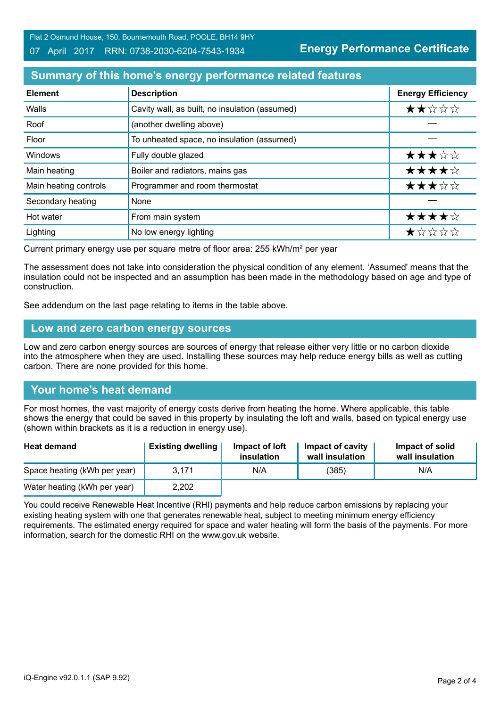Flat 2 Osmund House, 150, Bournemouth Road, POOLE, BH14 9HY

#### 07 April 2017 RRN: 0738-2030-6204-7543-1934

**Energy Performance Certificate**

## **Summary of this home's energy performance related features**

| <b>Element</b>        | <b>Description</b>                             | <b>Energy Efficiency</b> |
|-----------------------|------------------------------------------------|--------------------------|
| Walls                 | Cavity wall, as built, no insulation (assumed) | ★★☆☆☆                    |
| Roof                  | (another dwelling above)                       |                          |
| Floor                 | To unheated space, no insulation (assumed)     |                          |
| Windows               | Fully double glazed                            | ★★★☆☆                    |
| Main heating          | Boiler and radiators, mains gas                | ★★★★☆                    |
| Main heating controls | Programmer and room thermostat                 | ★★★☆☆                    |
| Secondary heating     | None                                           |                          |
| Hot water             | From main system                               | ★★★★☆                    |
| Lighting              | No low energy lighting                         | *****                    |

Current primary energy use per square metre of floor area: 255 kWh/m² per year

The assessment does not take into consideration the physical condition of any element. 'Assumed' means that the insulation could not be inspected and an assumption has been made in the methodology based on age and type of construction.

See addendum on the last page relating to items in the table above.

#### **Low and zero carbon energy sources**

Low and zero carbon energy sources are sources of energy that release either very little or no carbon dioxide into the atmosphere when they are used. Installing these sources may help reduce energy bills as well as cutting carbon. There are none provided for this home.

# **Your home's heat demand**

For most homes, the vast majority of energy costs derive from heating the home. Where applicable, this table shows the energy that could be saved in this property by insulating the loft and walls, based on typical energy use (shown within brackets as it is a reduction in energy use).

| <b>Heat demand</b>           | <b>Existing dwelling</b> | Impact of loft<br>insulation | Impact of cavity<br>wall insulation | Impact of solid<br>wall insulation |
|------------------------------|--------------------------|------------------------------|-------------------------------------|------------------------------------|
| Space heating (kWh per year) | 3.171                    | N/A                          | (385)                               | N/A                                |
| Water heating (kWh per year) | 2,202                    |                              |                                     |                                    |

You could receive Renewable Heat Incentive (RHI) payments and help reduce carbon emissions by replacing your existing heating system with one that generates renewable heat, subject to meeting minimum energy efficiency requirements. The estimated energy required for space and water heating will form the basis of the payments. For more information, search for the domestic RHI on the www.gov.uk website.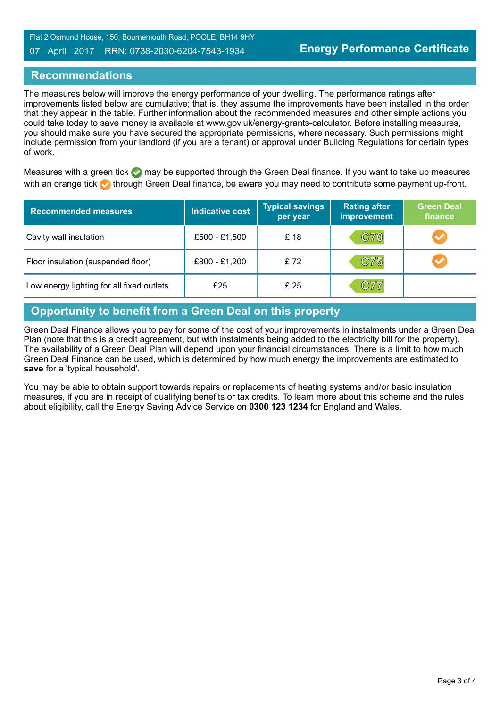Flat 2 Osmund House, 150, Bournemouth Road, POOLE, BH14 9HY

#### 07 April 2017 RRN: 0738-2030-6204-7543-1934

## **Recommendations**

The measures below will improve the energy performance of your dwelling. The performance ratings after improvements listed below are cumulative; that is, they assume the improvements have been installed in the order that they appear in the table. Further information about the recommended measures and other simple actions you could take today to save money is available at www.gov.uk/energy-grants-calculator. Before installing measures, you should make sure you have secured the appropriate permissions, where necessary. Such permissions might include permission from your landlord (if you are a tenant) or approval under Building Regulations for certain types of work.

Measures with a green tick  $\bullet$  may be supported through the Green Deal finance. If you want to take up measures with an orange tick **th** through Green Deal finance, be aware you may need to contribute some payment up-front.

| <b>Recommended measures</b>               | Indicative cost | <b>Typical savings</b><br>per year | <b>Rating after</b><br>improvement | <b>Green Deal</b><br>finance |
|-------------------------------------------|-----------------|------------------------------------|------------------------------------|------------------------------|
| Cavity wall insulation                    | £500 - £1,500   | £18                                | <b>C70</b>                         | $\blacktriangledown$         |
| Floor insulation (suspended floor)        | £800 - £1,200   | £72                                | C75                                | $\bullet$                    |
| Low energy lighting for all fixed outlets | £25             | £ 25                               | C77                                |                              |

# **Opportunity to benefit from a Green Deal on this property**

Green Deal Finance allows you to pay for some of the cost of your improvements in instalments under a Green Deal Plan (note that this is a credit agreement, but with instalments being added to the electricity bill for the property). The availability of a Green Deal Plan will depend upon your financial circumstances. There is a limit to how much Green Deal Finance can be used, which is determined by how much energy the improvements are estimated to **save** for a 'typical household'.

You may be able to obtain support towards repairs or replacements of heating systems and/or basic insulation measures, if you are in receipt of qualifying benefits or tax credits. To learn more about this scheme and the rules about eligibility, call the Energy Saving Advice Service on **0300 123 1234** for England and Wales.